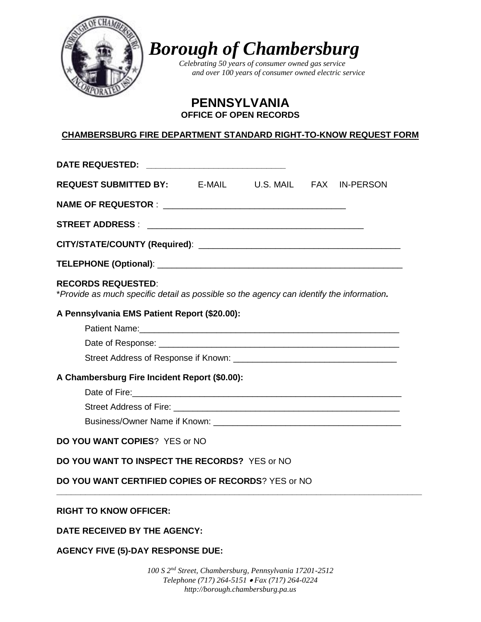

*Borough of Chambersburg* 

*Celebrating 50 years of consumer owned gas service and over 100 years of consumer owned electric service*

> **PENNSYLVANIA OFFICE OF OPEN RECORDS**

# **CHAMBERSBURG FIRE DEPARTMENT STANDARD RIGHT-TO-KNOW REQUEST FORM**

| DATE REQUESTED: ______________________________                                                                        |  |  |  |  |
|-----------------------------------------------------------------------------------------------------------------------|--|--|--|--|
| <b>REQUEST SUBMITTED BY:</b> E-MAIL U.S. MAIL FAX IN-PERSON                                                           |  |  |  |  |
|                                                                                                                       |  |  |  |  |
|                                                                                                                       |  |  |  |  |
|                                                                                                                       |  |  |  |  |
|                                                                                                                       |  |  |  |  |
| <b>RECORDS REQUESTED:</b><br>*Provide as much specific detail as possible so the agency can identify the information. |  |  |  |  |
| A Pennsylvania EMS Patient Report (\$20.00):                                                                          |  |  |  |  |
|                                                                                                                       |  |  |  |  |
|                                                                                                                       |  |  |  |  |
|                                                                                                                       |  |  |  |  |
| A Chambersburg Fire Incident Report (\$0.00):                                                                         |  |  |  |  |
|                                                                                                                       |  |  |  |  |
|                                                                                                                       |  |  |  |  |
|                                                                                                                       |  |  |  |  |
| <b>DO YOU WANT COPIES?</b> YES or NO                                                                                  |  |  |  |  |
| DO YOU WANT TO INSPECT THE RECORDS? YES or NO                                                                         |  |  |  |  |
| <b>DO YOU WANT CERTIFIED COPIES OF RECORDS?</b> YES or NO                                                             |  |  |  |  |
| <b>RIGHT TO KNOW OFFICER:</b>                                                                                         |  |  |  |  |
|                                                                                                                       |  |  |  |  |
| DATE RECEIVED BY THE AGENCY:                                                                                          |  |  |  |  |

**AGENCY FIVE (5)-DAY RESPONSE DUE:**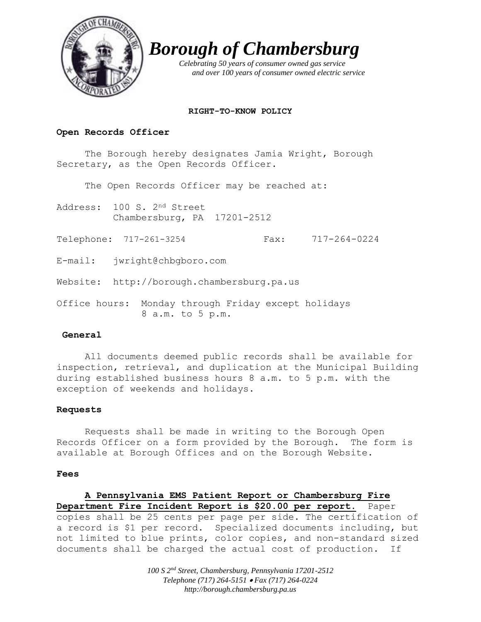

*Borough of Chambersburg*

 *Celebrating 50 years of consumer owned gas service and over 100 years of consumer owned electric service*

## **RIGHT-TO-KNOW POLICY**

## **Open Records Officer**

The Borough hereby designates Jamia Wright, Borough Secretary, as the Open Records Officer.

The Open Records Officer may be reached at:

Address: 100 S. 2nd Street Chambersburg, PA 17201-2512

Telephone: 717-261-3254 Fax: 717-264-0224

E-mail: jwright@chbgboro.com

Website: http://borough.chambersburg.pa.us

Office hours: Monday through Friday except holidays 8 a.m. to 5 p.m.

## **General**

All documents deemed public records shall be available for inspection, retrieval, and duplication at the Municipal Building during established business hours 8 a.m. to 5 p.m. with the exception of weekends and holidays.

## **Requests**

Requests shall be made in writing to the Borough Open Records Officer on a form provided by the Borough. The form is available at Borough Offices and on the Borough Website.

#### **Fees**

## **A Pennsylvania EMS Patient Report or Chambersburg Fire Department Fire Incident Report is \$20.00 per report.** Paper copies shall be 25 cents per page per side. The certification of a record is \$1 per record. Specialized documents including, but not limited to blue prints, color copies, and non-standard sized documents shall be charged the actual cost of production. If

*100 S 2nd Street, Chambersburg, Pennsylvania 17201-2512 Telephone (717) 264-5151 Fax (717) 264-0224 http://borough.chambersburg.pa.us*